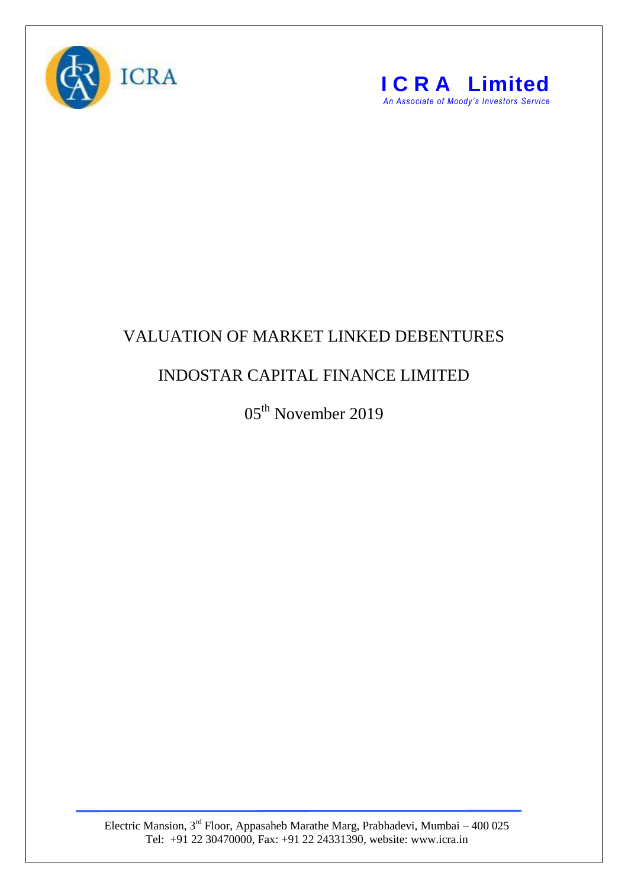



## VALUATION OF MARKET LINKED DEBENTURES

## INDOSTAR CAPITAL FINANCE LIMITED

05<sup>th</sup> November 2019

Electric Mansion,  $3<sup>rd</sup>$  Floor, Appasaheb Marathe Marg, Prabhadevi, Mumbai – 400 025 Tel: +91 22 30470000, Fax: +91 22 24331390, website: www.icra.in